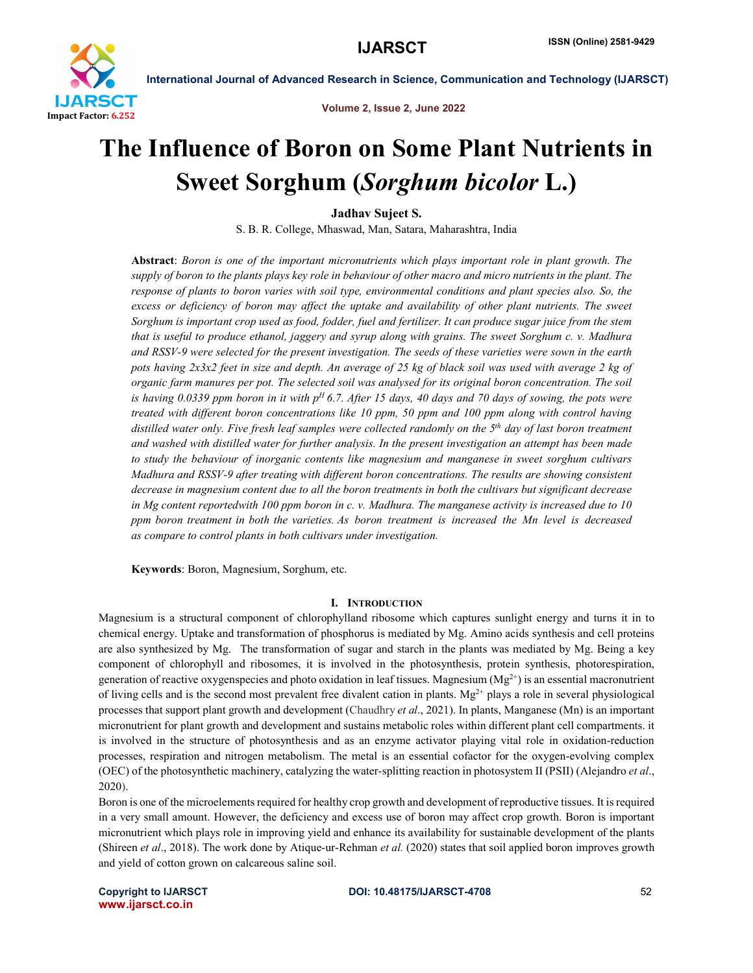

Volume 2, Issue 2, June 2022

# The Influence of Boron on Some Plant Nutrients in Sweet Sorghum (*Sorghum bicolor* L.)

Jadhav Sujeet S.

S. B. R. College, Mhaswad, Man, Satara, Maharashtra, India

Abstract: *Boron is one of the important micronutrients which plays important role in plant growth. The supply of boron to the plants plays key role in behaviour of other macro and micro nutrients in the plant. The response of plants to boron varies with soil type, environmental conditions and plant species also. So, the*  excess or deficiency of boron may affect the uptake and availability of other plant nutrients. The sweet *Sorghum is important crop used as food, fodder, fuel and fertilizer. It can produce sugar juice from the stem that is useful to produce ethanol, jaggery and syrup along with grains. The sweet Sorghum c. v. Madhura and RSSV-9 were selected for the present investigation. The seeds of these varieties were sown in the earth pots having 2x3x2 feet in size and depth. An average of 25 kg of black soil was used with average 2 kg of organic farm manures per pot. The selected soil was analysed for its original boron concentration. The soil is having 0.0339 ppm boron in it with pH 6.7. After 15 days, 40 days and 70 days of sowing, the pots were treated with different boron concentrations like 10 ppm, 50 ppm and 100 ppm along with control having distilled water only. Five fresh leaf samples were collected randomly on the 5th day of last boron treatment and washed with distilled water for further analysis. In the present investigation an attempt has been made to study the behaviour of inorganic contents like magnesium and manganese in sweet sorghum cultivars Madhura and RSSV-9 after treating with different boron concentrations. The results are showing consistent decrease in magnesium content due to all the boron treatments in both the cultivars but significant decrease in Mg content reportedwith 100 ppm boron in c. v. Madhura. The manganese activity is increased due to 10 ppm boron treatment in both the varieties. As boron treatment is increased the Mn level is decreased as compare to control plants in both cultivars under investigation.*

Keywords: Boron, Magnesium, Sorghum, etc.

# I. INTRODUCTION

Magnesium is a structural component of chlorophylland ribosome which captures sunlight energy and turns it in to chemical energy. Uptake and transformation of phosphorus is mediated by Mg. Amino acids synthesis and cell proteins are also synthesized by Mg. The transformation of sugar and starch in the plants was mediated by Mg. Being a key component of chlorophyll and ribosomes, it is involved in the photosynthesis, protein synthesis, photorespiration, generation of reactive oxygenspecies and photo oxidation in leaf tissues. Magnesium ( $Mg^{2+}$ ) is an essential macronutrient of living cells and is the second most prevalent free divalent cation in plants.  $Mg^{2+}$  plays a role in several physiological processes that support plant growth and development (Chaudhry *et al*., 2021). In plants, Manganese (Mn) is an important micronutrient for plant growth and development and sustains metabolic roles within different plant cell compartments. it is involved in the structure of photosynthesis and as an enzyme activator playing vital role in oxidation-reduction processes, respiration and nitrogen metabolism. The metal is an essential cofactor for the oxygen-evolving complex (OEC) of the photosynthetic machinery, catalyzing the water-splitting reaction in photosystem II (PSII) (Alejandro *et al*., 2020).

Boron is one of the microelements required for healthy crop growth and development of reproductive tissues. It is required in a very small amount. However, the deficiency and excess use of boron may affect crop growth. Boron is important micronutrient which plays role in improving yield and enhance its availability for sustainable development of the plants (Shireen *et al*., 2018). The work done by Atique-ur-Rehman *et al.* (2020) states that soil applied boron improves growth and yield of cotton grown on calcareous saline soil.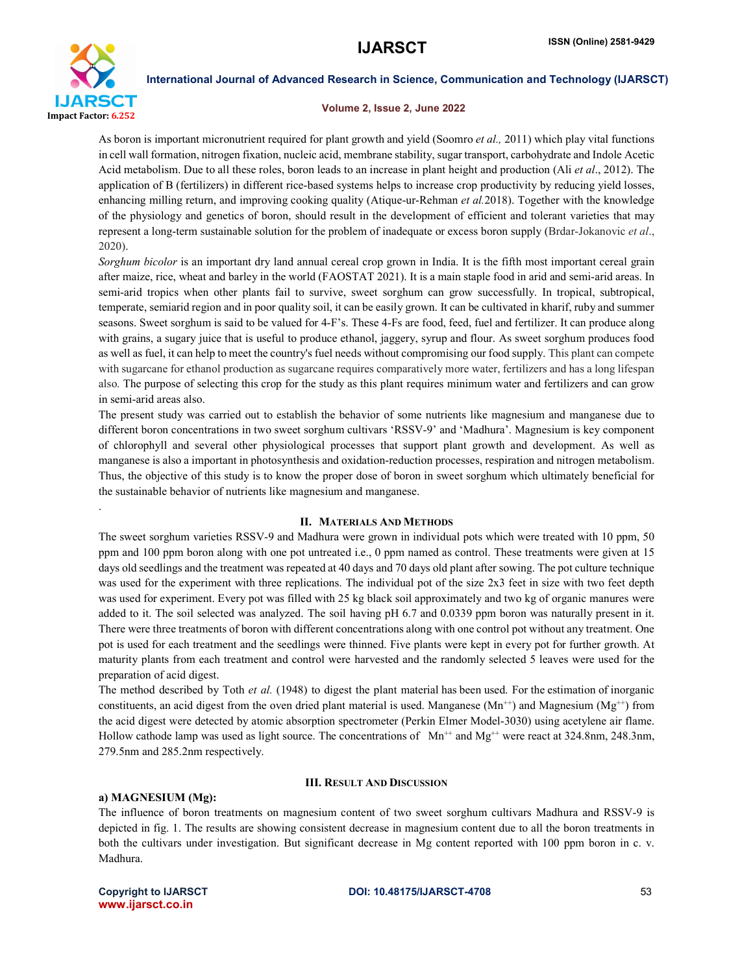

.

International Journal of Advanced Research in Science, Communication and Technology (IJARSCT)

### Volume 2, Issue 2, June 2022

As boron is important micronutrient required for plant growth and yield (Soomro *et al.,* 2011) which play vital functions in cell wall formation, nitrogen fixation, nucleic acid, membrane stability, sugar transport, carbohydrate and Indole Acetic Acid metabolism. Due to all these roles, boron leads to an increase in plant height and production (Ali *et al*., 2012). The application of B (fertilizers) in different rice-based systems helps to increase crop productivity by reducing yield losses, enhancing milling return, and improving cooking quality (Atique-ur-Rehman *et al.*2018). Together with the knowledge of the physiology and genetics of boron, should result in the development of efficient and tolerant varieties that may represent a long-term sustainable solution for the problem of inadequate or excess boron supply (Brdar-Jokanovic *et al*., 2020).

*Sorghum bicolor* is an important dry land annual cereal crop grown in India. It is the fifth most important cereal grain after maize, rice, wheat and barley in the world (FAOSTAT 2021). It is a main staple food in arid and semi-arid areas. In semi-arid tropics when other plants fail to survive, sweet sorghum can grow successfully. In tropical, subtropical, temperate, semiarid region and in poor quality soil, it can be easily grown. It can be cultivated in kharif, ruby and summer seasons. Sweet sorghum is said to be valued for 4-F's. These 4-Fs are food, feed, fuel and fertilizer. It can produce along with grains, a sugary juice that is useful to produce ethanol, jaggery, syrup and flour. As sweet sorghum produces food as well as fuel, it can help to meet the country's fuel needs without compromising our food supply. This plant can compete with sugarcane for ethanol production as sugarcane requires comparatively more water, fertilizers and has a long lifespan also. The purpose of selecting this crop for the study as this plant requires minimum water and fertilizers and can grow in semi-arid areas also.

The present study was carried out to establish the behavior of some nutrients like magnesium and manganese due to different boron concentrations in two sweet sorghum cultivars 'RSSV-9' and 'Madhura'. Magnesium is key component of chlorophyll and several other physiological processes that support plant growth and development. As well as manganese is also a important in photosynthesis and oxidation-reduction processes, respiration and nitrogen metabolism. Thus, the objective of this study is to know the proper dose of boron in sweet sorghum which ultimately beneficial for the sustainable behavior of nutrients like magnesium and manganese.

# II. MATERIALS AND METHODS

The sweet sorghum varieties RSSV-9 and Madhura were grown in individual pots which were treated with 10 ppm, 50 ppm and 100 ppm boron along with one pot untreated i.e., 0 ppm named as control. These treatments were given at 15 days old seedlings and the treatment was repeated at 40 days and 70 days old plant after sowing. The pot culture technique was used for the experiment with three replications. The individual pot of the size 2x3 feet in size with two feet depth was used for experiment. Every pot was filled with 25 kg black soil approximately and two kg of organic manures were added to it. The soil selected was analyzed. The soil having pH 6.7 and 0.0339 ppm boron was naturally present in it. There were three treatments of boron with different concentrations along with one control pot without any treatment. One pot is used for each treatment and the seedlings were thinned. Five plants were kept in every pot for further growth. At maturity plants from each treatment and control were harvested and the randomly selected 5 leaves were used for the preparation of acid digest.

The method described by Toth *et al.* (1948) to digest the plant material has been used. For the estimation of inorganic constituents, an acid digest from the oven dried plant material is used. Manganese ( $Mn^{++}$ ) and Magnesium ( $Mg^{++}$ ) from the acid digest were detected by atomic absorption spectrometer (Perkin Elmer Model-3030) using acetylene air flame. Hollow cathode lamp was used as light source. The concentrations of  $Mn^{++}$  and  $Mg^{++}$  were react at 324.8nm, 248.3nm, 279.5nm and 285.2nm respectively.

### III. RESULT AND DISCUSSION

# a) MAGNESIUM (Mg):

The influence of boron treatments on magnesium content of two sweet sorghum cultivars Madhura and RSSV-9 is depicted in fig. 1. The results are showing consistent decrease in magnesium content due to all the boron treatments in both the cultivars under investigation. But significant decrease in Mg content reported with 100 ppm boron in c. v. Madhura.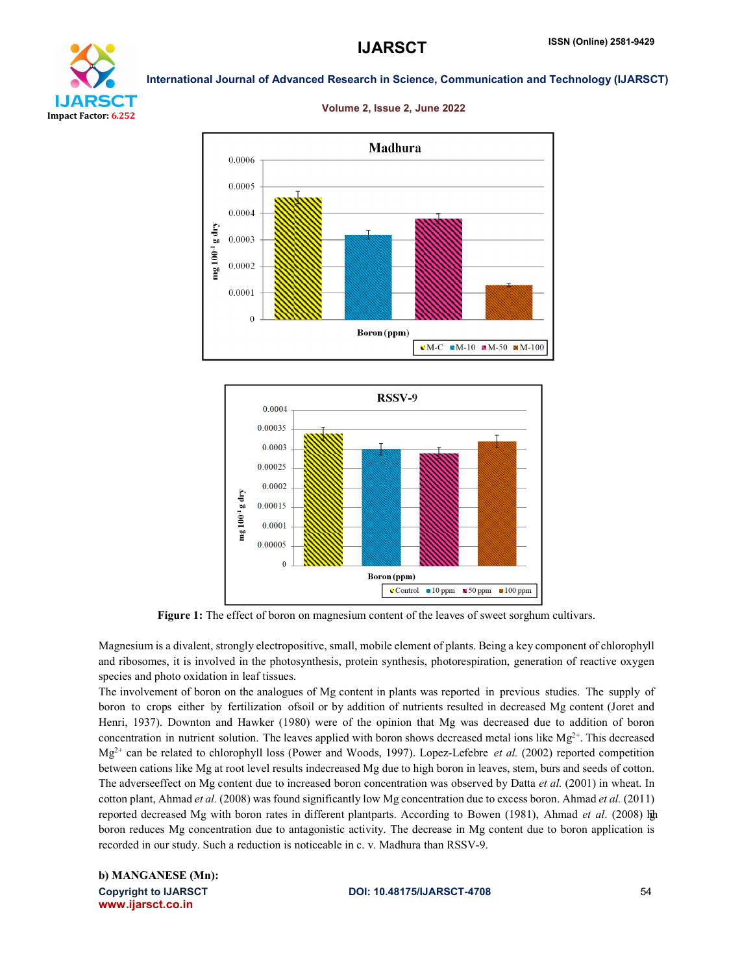



### Volume 2, Issue 2, June 2022





Figure 1: The effect of boron on magnesium content of the leaves of sweet sorghum cultivars.

Magnesium is a divalent, strongly electropositive, small, mobile element of plants. Being a key component of chlorophyll and ribosomes, it is involved in the photosynthesis, protein synthesis, photorespiration, generation of reactive oxygen species and photo oxidation in leaf tissues.

The involvement of boron on the analogues of Mg content in plants was reported in previous studies. The supply of boron to crops either by fertilization ofsoil or by addition of nutrients resulted in decreased Mg content (Joret and Henri, 1937). Downton and Hawker (1980) were of the opinion that Mg was decreased due to addition of boron concentration in nutrient solution. The leaves applied with boron shows decreased metal ions like  $Mg^{2+}$ . This decreased Mg2+ can be related to chlorophyll loss (Power and Woods, 1997). Lopez-Lefebre *et al.* (2002) reported competition between cations like Mg at root level results indecreased Mg due to high boron in leaves, stem, burs and seeds of cotton. The adverseeffect on Mg content due to increased boron concentration was observed by Datta *et al.* (2001) in wheat. In cotton plant, Ahmad *et al.* (2008) was found significantly low Mg concentration due to excess boron. Ahmad *et al.* (2011) reported decreased Mg with boron rates in different plantparts. According to Bowen (1981), Ahmad *et al*. (2008) high boron reduces Mg concentration due to antagonistic activity. The decrease in Mg content due to boron application is recorded in our study. Such a reduction is noticeable in c. v. Madhura than RSSV-9.

Copyright to IJARSCT **DOI: 10.48175/IJARSCT-4708** 54 www.ijarsct.co.in b) MANGANESE (Mn):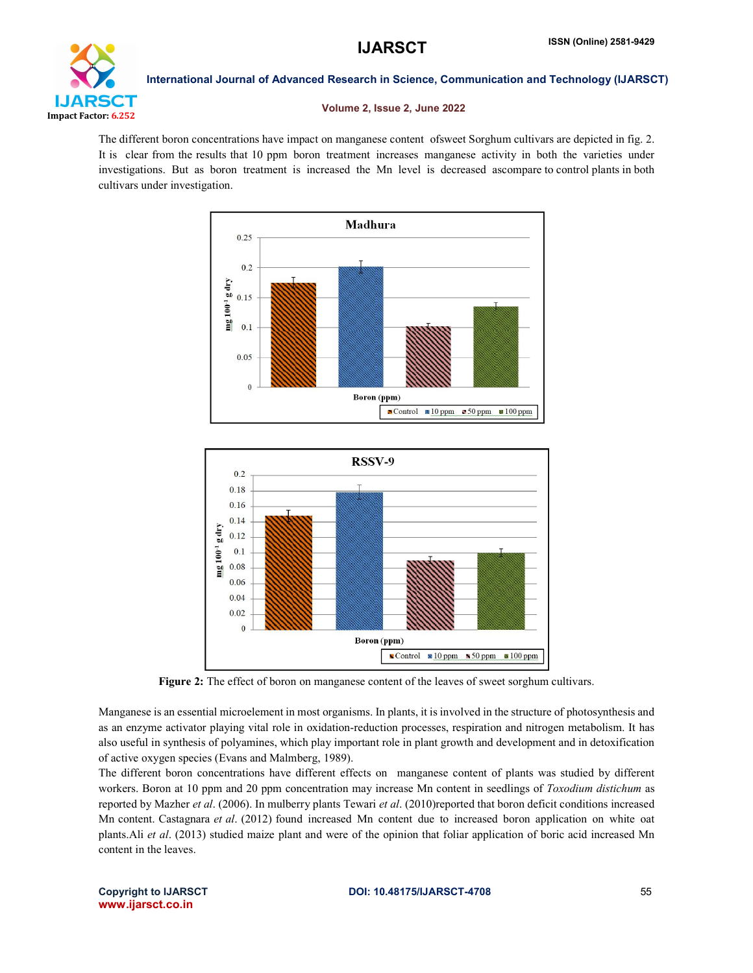

### Volume 2, Issue 2, June 2022

The different boron concentrations have impact on manganese content ofsweet Sorghum cultivars are depicted in fig. 2. It is clear from the results that 10 ppm boron treatment increases manganese activity in both the varieties under investigations. But as boron treatment is increased the Mn level is decreased ascompare to control plants in both cultivars under investigation.





Figure 2: The effect of boron on manganese content of the leaves of sweet sorghum cultivars.

Manganese is an essential microelement in most organisms. In plants, it is involved in the structure of photosynthesis and as an enzyme activator playing vital role in oxidation-reduction processes, respiration and nitrogen metabolism. It has also useful in synthesis of polyamines, which play important role in plant growth and development and in detoxification of active oxygen species (Evans and Malmberg, 1989).

The different boron concentrations have different effects on manganese content of plants was studied by different workers. Boron at 10 ppm and 20 ppm concentration may increase Mn content in seedlings of *Toxodium distichum* as reported by Mazher *et al*. (2006). In mulberry plants Tewari *et al*. (2010)reported that boron deficit conditions increased Mn content. Castagnara *et al*. (2012) found increased Mn content due to increased boron application on white oat plants.Ali *et al*. (2013) studied maize plant and were of the opinion that foliar application of boric acid increased Mn content in the leaves.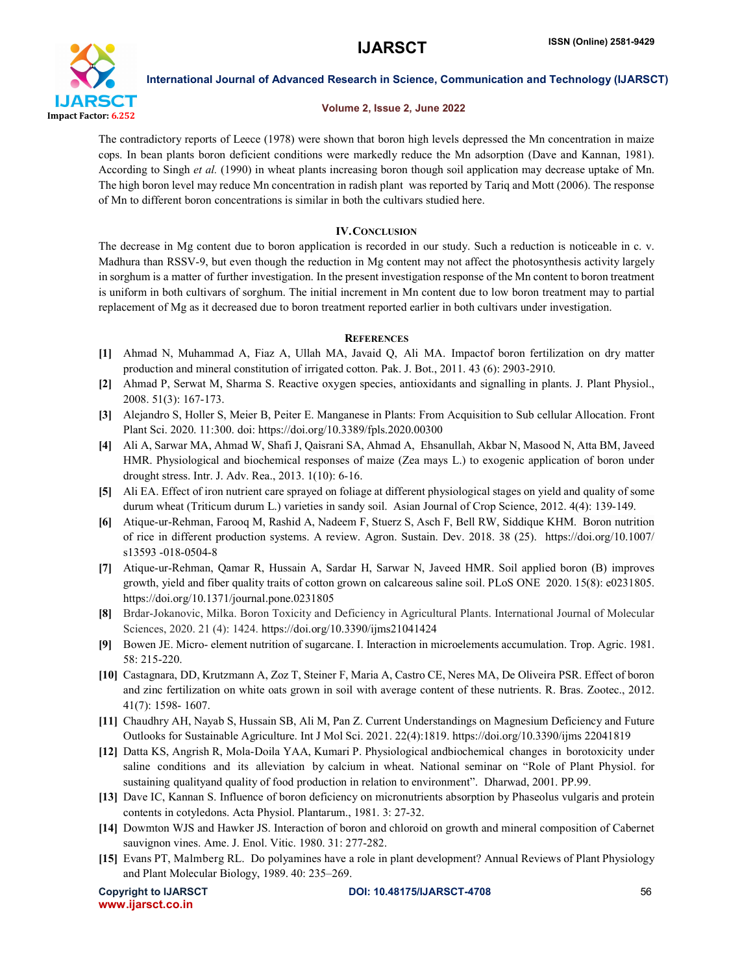

# Volume 2, Issue 2, June 2022

The contradictory reports of Leece (1978) were shown that boron high levels depressed the Mn concentration in maize cops. In bean plants boron deficient conditions were markedly reduce the Mn adsorption (Dave and Kannan, 1981). According to Singh *et al.* (1990) in wheat plants increasing boron though soil application may decrease uptake of Mn. The high boron level may reduce Mn concentration in radish plant was reported by Tariq and Mott (2006). The response of Mn to different boron concentrations is similar in both the cultivars studied here.

# IV.CONCLUSION

The decrease in Mg content due to boron application is recorded in our study. Such a reduction is noticeable in c. v. Madhura than RSSV-9, but even though the reduction in Mg content may not affect the photosynthesis activity largely in sorghum is a matter of further investigation. In the present investigation response of the Mn content to boron treatment is uniform in both cultivars of sorghum. The initial increment in Mn content due to low boron treatment may to partial replacement of Mg as it decreased due to boron treatment reported earlier in both cultivars under investigation.

# **REFERENCES**

- [1] Ahmad N, Muhammad A, Fiaz A, Ullah MA, Javaid Q, Ali MA. Impactof boron fertilization on dry matter production and mineral constitution of irrigated cotton. Pak. J. Bot., 2011. 43 (6): 2903-2910.
- [2] Ahmad P, Serwat M, Sharma S. Reactive oxygen species, antioxidants and signalling in plants. J. Plant Physiol., 2008. 51(3): 167-173.
- [3] Alejandro S, Holler S, Meier B, Peiter E. Manganese in Plants: From Acquisition to Sub cellular Allocation. Front Plant Sci. 2020. 11:300. doi: https://doi.org/10.3389/fpls.2020.00300
- [4] Ali A, Sarwar MA, Ahmad W, Shafi J, Qaisrani SA, Ahmad A, Ehsanullah, Akbar N, Masood N, Atta BM, Javeed HMR. Physiological and biochemical responses of maize (Zea mays L.) to exogenic application of boron under drought stress. Intr. J. Adv. Rea., 2013. 1(10): 6-16.
- [5] Ali EA. Effect of iron nutrient care sprayed on foliage at different physiological stages on yield and quality of some durum wheat (Triticum durum L.) varieties in sandy soil. Asian Journal of Crop Science, 2012. 4(4): 139-149.
- [6] Atique-ur-Rehman, Farooq M, Rashid A, Nadeem F, Stuerz S, Asch F, Bell RW, Siddique KHM. Boron nutrition of rice in different production systems. A review. Agron. Sustain. Dev. 2018. 38 (25). https://doi.org/10.1007/ s13593 -018-0504-8
- [7] Atique-ur-Rehman, Qamar R, Hussain A, Sardar H, Sarwar N, Javeed HMR. Soil applied boron (B) improves growth, yield and fiber quality traits of cotton grown on calcareous saline soil. PLoS ONE 2020. 15(8): e0231805. https://doi.org/10.1371/journal.pone.0231805
- [8] Brdar-Jokanovic, Milka. Boron Toxicity and Deficiency in Agricultural Plants. International Journal of Molecular Sciences, 2020. 21 (4): 1424. https://doi.org/10.3390/ijms21041424
- [9] Bowen JE. Micro- element nutrition of sugarcane. I. Interaction in microelements accumulation. Trop. Agric. 1981. 58: 215-220.
- [10] Castagnara, DD, Krutzmann A, Zoz T, Steiner F, Maria A, Castro CE, Neres MA, De Oliveira PSR. Effect of boron and zinc fertilization on white oats grown in soil with average content of these nutrients. R. Bras. Zootec., 2012. 41(7): 1598- 1607.
- [11] Chaudhry AH, Nayab S, Hussain SB, Ali M, Pan Z. Current Understandings on Magnesium Deficiency and Future Outlooks for Sustainable Agriculture. Int J Mol Sci. 2021. 22(4):1819. https://doi.org/10.3390/ijms 22041819
- [12] Datta KS, Angrish R, Mola-Doila YAA, Kumari P. Physiological andbiochemical changes in borotoxicity under saline conditions and its alleviation by calcium in wheat. National seminar on "Role of Plant Physiol. for sustaining qualityand quality of food production in relation to environment". Dharwad, 2001. PP.99.
- [13] Dave IC, Kannan S. Influence of boron deficiency on micronutrients absorption by Phaseolus vulgaris and protein contents in cotyledons. Acta Physiol. Plantarum., 1981. 3: 27-32.
- [14] Dowmton WJS and Hawker JS. Interaction of boron and chloroid on growth and mineral composition of Cabernet sauvignon vines. Ame. J. Enol. Vitic. 1980. 31: 277-282.
- [15] Evans PT, Malmberg RL. Do polyamines have a role in plant development? Annual Reviews of Plant Physiology and Plant Molecular Biology, 1989. 40: 235–269.

www.ijarsct.co.in